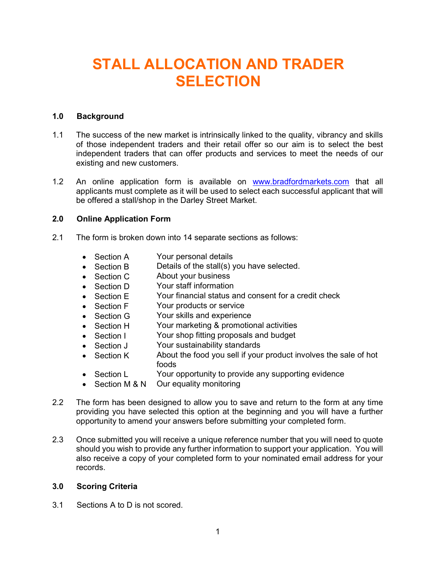# STALL ALLOCATION AND TRADER **SELECTION**

# 1.0 Background

- 1.1 The success of the new market is intrinsically linked to the quality, vibrancy and skills of those independent traders and their retail offer so our aim is to select the best independent traders that can offer products and services to meet the needs of our existing and new customers.
- 1.2 An online application form is available on www.bradfordmarkets.com that all applicants must complete as it will be used to select each successful applicant that will be offered a stall/shop in the Darley Street Market.

#### 2.0 Online Application Form

- 2.1 The form is broken down into 14 separate sections as follows:
	- Section A Your personal details
	- Section B Details of the stall(s) you have selected.
	- Section C About your business
	- Section D Your staff information
	- Section E Your financial status and consent for a credit check
	- Section F Your products or service
	- Section G Your skills and experience
	- Section H Your marketing & promotional activities
	- Section I Your shop fitting proposals and budget
	- Section J Your sustainability standards
	- Section K About the food you sell if your product involves the sale of hot foods
	- Section L Your opportunity to provide any supporting evidence
	- Section M & N Our equality monitoring
- 2.2 The form has been designed to allow you to save and return to the form at any time providing you have selected this option at the beginning and you will have a further opportunity to amend your answers before submitting your completed form.
- 2.3 Once submitted you will receive a unique reference number that you will need to quote should you wish to provide any further information to support your application. You will also receive a copy of your completed form to your nominated email address for your records.

#### 3.0 Scoring Criteria

3.1 Sections A to D is not scored.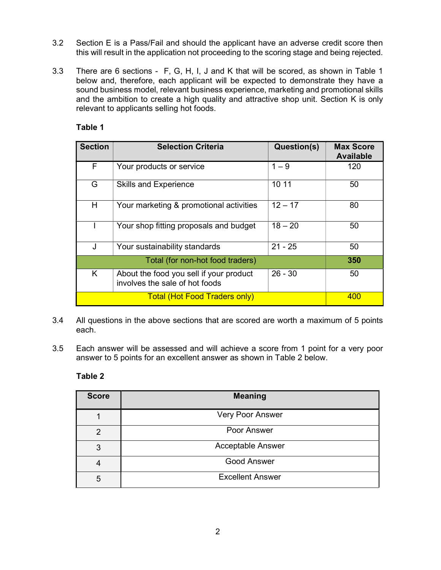- 3.2 Section E is a Pass/Fail and should the applicant have an adverse credit score then this will result in the application not proceeding to the scoring stage and being rejected.
- 3.3 There are 6 sections F, G, H, I, J and K that will be scored, as shown in Table 1 below and, therefore, each applicant will be expected to demonstrate they have a sound business model, relevant business experience, marketing and promotional skills and the ambition to create a high quality and attractive shop unit. Section K is only relevant to applicants selling hot foods.

# Table 1

| <b>Section</b> | <b>Selection Criteria</b>                                                 | Question(s) | <b>Max Score</b><br><b>Available</b> |
|----------------|---------------------------------------------------------------------------|-------------|--------------------------------------|
| F              | Your products or service                                                  | $1 - 9$     | 120                                  |
| G              | <b>Skills and Experience</b>                                              | 10 11       | 50                                   |
| H              | Your marketing & promotional activities                                   | $12 - 17$   | 80                                   |
|                | Your shop fitting proposals and budget                                    | $18 - 20$   | 50                                   |
| J              | Your sustainability standards                                             | $21 - 25$   | 50                                   |
|                | 350                                                                       |             |                                      |
| Κ              | About the food you sell if your product<br>involves the sale of hot foods | $26 - 30$   | 50                                   |
|                | 400                                                                       |             |                                      |

- 3.4 All questions in the above sections that are scored are worth a maximum of 5 points each.
- 3.5 Each answer will be assessed and will achieve a score from 1 point for a very poor answer to 5 points for an excellent answer as shown in Table 2 below.

# Table 2

| <b>Score</b>  | <b>Meaning</b>           |
|---------------|--------------------------|
|               | Very Poor Answer         |
| $\mathcal{P}$ | Poor Answer              |
| 3             | <b>Acceptable Answer</b> |
|               | <b>Good Answer</b>       |
| 5             | <b>Excellent Answer</b>  |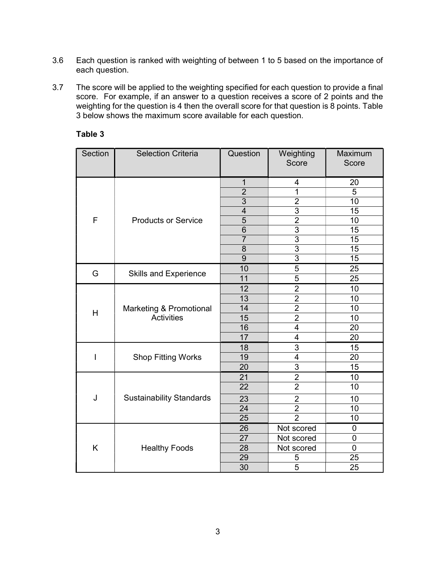- 3.6 Each question is ranked with weighting of between 1 to 5 based on the importance of each question.
- 3.7 The score will be applied to the weighting specified for each question to provide a final score. For example, if an answer to a question receives a score of 2 points and the weighting for the question is 4 then the overall score for that question is 8 points. Table 3 below shows the maximum score available for each question.

| Section | <b>Selection Criteria</b>                    | Question                | Weighting<br>Score      | Maximum<br>Score |
|---------|----------------------------------------------|-------------------------|-------------------------|------------------|
|         | <b>Products or Service</b>                   | 1                       | 4                       | 20               |
|         |                                              | $\overline{2}$          | 1                       | $\overline{5}$   |
|         |                                              | 3                       | $\overline{2}$          | 10               |
|         |                                              | $\overline{\mathbf{4}}$ | $\overline{3}$          | 15               |
| F       |                                              | 5                       | $\overline{2}$          | 10               |
|         |                                              | 6                       | $\overline{3}$          | 15               |
|         |                                              | $\overline{7}$          | $\overline{3}$          | 15               |
|         |                                              | 8                       | $\overline{3}$          | 15               |
|         |                                              | 9                       | $\overline{3}$          | 15               |
| G       |                                              | 10                      | 5                       | 25               |
|         | <b>Skills and Experience</b>                 | 11                      | $\overline{5}$          | 25               |
|         |                                              | 12                      | $\overline{2}$          | 10               |
|         |                                              | 13                      | $\overline{2}$          | 10               |
|         | Marketing & Promotional<br><b>Activities</b> | 14                      | $\overline{2}$          | 10               |
| Η       |                                              | $\overline{15}$         | $\overline{2}$          | $\overline{10}$  |
|         |                                              | 16                      | $\overline{\mathbf{4}}$ | 20               |
|         |                                              | 17                      | $\overline{\mathbf{4}}$ | 20               |
|         | <b>Shop Fitting Works</b>                    | 18                      | $\overline{3}$          | 15               |
| I       |                                              | 19                      | $\overline{\mathbf{4}}$ | 20               |
|         |                                              | 20                      | $\overline{3}$          | 15               |
|         | <b>Sustainability Standards</b>              | 21                      | $\overline{2}$          | 10               |
|         |                                              | 22                      | $\overline{2}$          | 10               |
| J       |                                              | 23                      | $\overline{2}$          | 10               |
|         |                                              | 24                      | $\overline{2}$          | 10               |
|         |                                              | 25                      | $\overline{2}$          | 10               |
|         | <b>Healthy Foods</b>                         | 26                      | Not scored              | $\mathbf 0$      |
| Κ       |                                              | 27                      | Not scored              | $\overline{0}$   |
|         |                                              | 28                      | Not scored              | $\overline{0}$   |
|         |                                              | 29                      | 5                       | 25               |
|         |                                              | 30                      | 5                       | 25               |

# Table 3